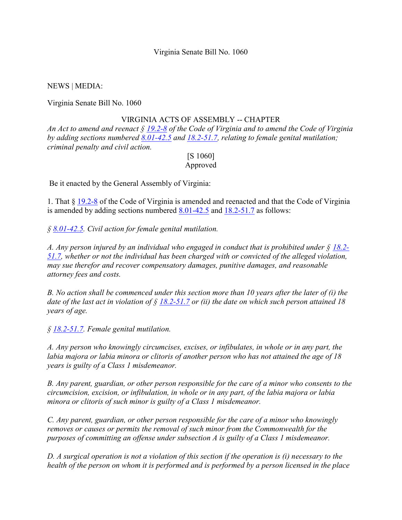## Virginia Senate Bill No. 1060

NEWS | MEDIA:

Virginia Senate Bill No. 1060

## VIRGINIA ACTS OF ASSEMBLY -- CHAPTER

An Act to amend and reenact  $\S$  19.2-8 of the Code of Virginia and to amend the Code of Virginia by adding sections numbered 8.01-42.5 and 18.2-51.7, relating to female genital mutilation; criminal penalty and civil action.

## [S 1060] Approved

Be it enacted by the General Assembly of Virginia:

1. That § 19.2-8 of the Code of Virginia is amended and reenacted and that the Code of Virginia is amended by adding sections numbered 8.01-42.5 and 18.2-51.7 as follows:

 $\frac{6}{9}$  8.01-42.5. Civil action for female genital mutilation.

A. Any person injured by an individual who engaged in conduct that is prohibited under  $\S$  18.2-51.7, whether or not the individual has been charged with or convicted of the alleged violation, may sue therefor and recover compensatory damages, punitive damages, and reasonable attorney fees and costs.

B. No action shall be commenced under this section more than 10 years after the later of  $(i)$  the date of the last act in violation of  $\S$  18.2-51.7 or (ii) the date on which such person attained 18 years of age.

§ 18.2-51.7. Female genital mutilation.

A. Any person who knowingly circumcises, excises, or infibulates, in whole or in any part, the labia majora or labia minora or clitoris of another person who has not attained the age of 18 years is guilty of a Class 1 misdemeanor.

B. Any parent, guardian, or other person responsible for the care of a minor who consents to the circumcision, excision, or infibulation, in whole or in any part, of the labia majora or labia minora or clitoris of such minor is guilty of a Class 1 misdemeanor.

C. Any parent, guardian, or other person responsible for the care of a minor who knowingly removes or causes or permits the removal of such minor from the Commonwealth for the purposes of committing an offense under subsection A is guilty of a Class 1 misdemeanor.

D. A surgical operation is not a violation of this section if the operation is (i) necessary to the health of the person on whom it is performed and is performed by a person licensed in the place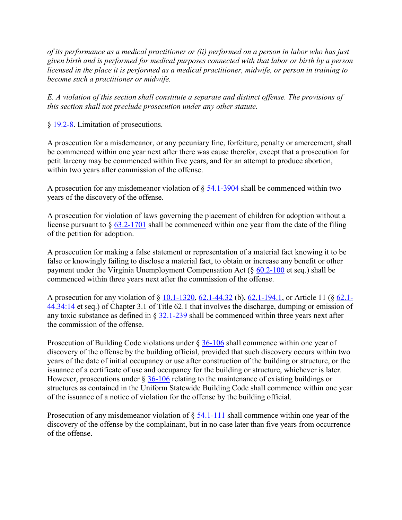of its performance as a medical practitioner or (ii) performed on a person in labor who has just given birth and is performed for medical purposes connected with that labor or birth by a person licensed in the place it is performed as a medical practitioner, midwife, or person in training to become such a practitioner or midwife.

E. A violation of this section shall constitute a separate and distinct offense. The provisions of this section shall not preclude prosecution under any other statute.

§ 19.2-8. Limitation of prosecutions.

A prosecution for a misdemeanor, or any pecuniary fine, forfeiture, penalty or amercement, shall be commenced within one year next after there was cause therefor, except that a prosecution for petit larceny may be commenced within five years, and for an attempt to produce abortion, within two years after commission of the offense.

A prosecution for any misdemeanor violation of § 54.1-3904 shall be commenced within two years of the discovery of the offense.

A prosecution for violation of laws governing the placement of children for adoption without a license pursuant to  $\S$  63.2-1701 shall be commenced within one year from the date of the filing of the petition for adoption.

A prosecution for making a false statement or representation of a material fact knowing it to be false or knowingly failing to disclose a material fact, to obtain or increase any benefit or other payment under the Virginia Unemployment Compensation Act  $(\S 60.2\t000)$  et seq.) shall be commenced within three years next after the commission of the offense.

A prosecution for any violation of § 10.1-1320, 62.1-44.32 (b), 62.1-194.1, or Article 11 (§ 62.1- 44.34:14 et seq.) of Chapter 3.1 of Title 62.1 that involves the discharge, dumping or emission of any toxic substance as defined in § 32.1-239 shall be commenced within three years next after the commission of the offense.

Prosecution of Building Code violations under § 36-106 shall commence within one year of discovery of the offense by the building official, provided that such discovery occurs within two years of the date of initial occupancy or use after construction of the building or structure, or the issuance of a certificate of use and occupancy for the building or structure, whichever is later. However, prosecutions under  $\S 36-106$  relating to the maintenance of existing buildings or structures as contained in the Uniform Statewide Building Code shall commence within one year of the issuance of a notice of violation for the offense by the building official.

Prosecution of any misdemeanor violation of  $\S$  54.1-111 shall commence within one year of the discovery of the offense by the complainant, but in no case later than five years from occurrence of the offense.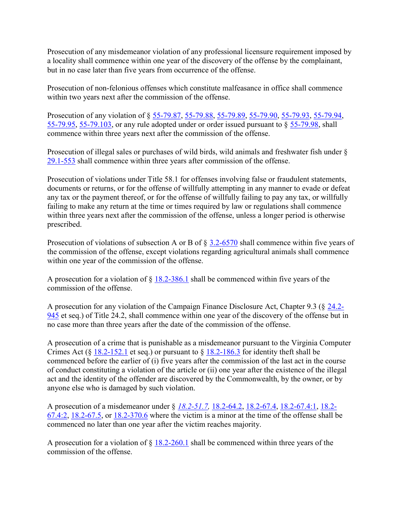Prosecution of any misdemeanor violation of any professional licensure requirement imposed by a locality shall commence within one year of the discovery of the offense by the complainant, but in no case later than five years from occurrence of the offense.

Prosecution of non-felonious offenses which constitute malfeasance in office shall commence within two years next after the commission of the offense.

Prosecution of any violation of § 55-79.87, 55-79.88, 55-79.89, 55-79.90, 55-79.93, 55-79.94, 55-79.95, 55-79.103, or any rule adopted under or order issued pursuant to § 55-79.98, shall commence within three years next after the commission of the offense.

Prosecution of illegal sales or purchases of wild birds, wild animals and freshwater fish under § 29.1-553 shall commence within three years after commission of the offense.

Prosecution of violations under Title 58.1 for offenses involving false or fraudulent statements, documents or returns, or for the offense of willfully attempting in any manner to evade or defeat any tax or the payment thereof, or for the offense of willfully failing to pay any tax, or willfully failing to make any return at the time or times required by law or regulations shall commence within three years next after the commission of the offense, unless a longer period is otherwise prescribed.

Prosecution of violations of subsection A or B of § 3.2-6570 shall commence within five years of the commission of the offense, except violations regarding agricultural animals shall commence within one year of the commission of the offense.

A prosecution for a violation of  $\S$  18.2-386.1 shall be commenced within five years of the commission of the offense.

A prosecution for any violation of the Campaign Finance Disclosure Act, Chapter 9.3 (§ 24.2- 945 et seq.) of Title 24.2, shall commence within one year of the discovery of the offense but in no case more than three years after the date of the commission of the offense.

A prosecution of a crime that is punishable as a misdemeanor pursuant to the Virginia Computer Crimes Act (§ 18.2-152.1 et seq.) or pursuant to  $\S$  18.2-186.3 for identity theft shall be commenced before the earlier of (i) five years after the commission of the last act in the course of conduct constituting a violation of the article or (ii) one year after the existence of the illegal act and the identity of the offender are discovered by the Commonwealth, by the owner, or by anyone else who is damaged by such violation.

A prosecution of a misdemeanor under § 18.2-51.7, 18.2-64.2, 18.2-67.4, 18.2-67.4:1, 18.2- 67.4:2, 18.2-67.5, or 18.2-370.6 where the victim is a minor at the time of the offense shall be commenced no later than one year after the victim reaches majority.

A prosecution for a violation of § 18.2-260.1 shall be commenced within three years of the commission of the offense.